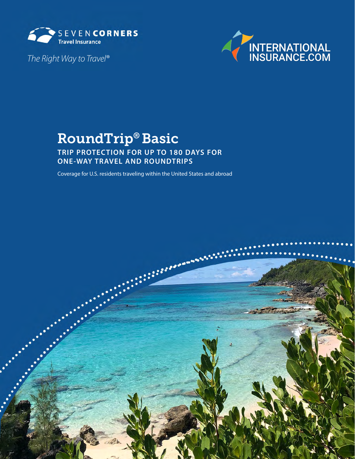

*The Right Way to Travel®* 



# RoundTrip® Basic

**TRIP PROTECTION FOR UP TO 180 DAYS FOR ONE-WAY TRAVEL AND ROUNDTRIPS**

Coverage for U.S. residents traveling within the United States and abroad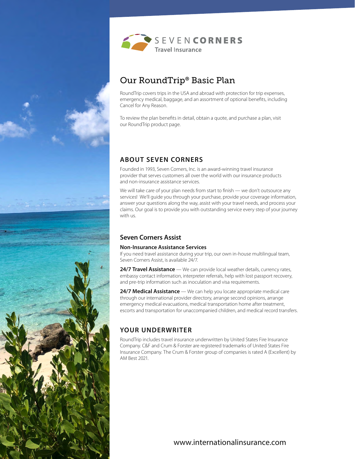



## Our RoundTrip® Basic Plan

RoundTrip covers trips in the USA and abroad with protection for trip expenses, emergency medical, baggage, and an assortment of optional benefts, including Cancel for Any Reason.

To review the plan benefts in detail, obtain a quote, and purchase a plan, visit our RoundTrip product page.

## **ABOUT SEVEN CORNERS**

Founded in 1993, Seven Corners, Inc. is an award-winning travel insurance provider that serves customers all over the world with our insurance products and non-insurance assistance services.

We will take care of your plan needs from start to finish — we don't outsource any services! We'll guide you through your purchase, provide your coverage information, answer your questions along the way, assist with your travel needs, and process your claims. Our goal is to provide you with outstanding service every step of your journey with us.

## **Seven Corners Assist**

#### **Non-Insurance Assistance Services**

If you need travel assistance during your trip, our own in-house multilingual team, Seven Corners Assist, is available 24/7.

24/7 Travel Assistance — We can provide local weather details, currency rates, embassy contact information, interpreter referrals, help with lost passport recovery, and pre-trip information such as inoculation and visa requirements.

**24/7 Medical Assistance** — We can help you locate appropriate medical care through our international provider directory, arrange second opinions, arrange emergency medical evacuations, medical transportation home after treatment, escorts and transportation for unaccompanied children, and medical record transfers.

## **YOUR UNDERWRITER**

RoundTrip includes travel insurance underwritten by United States Fire Insurance Company. C&F and Crum & Forster are registered trademarks of United States Fire Insurance Company. The Crum & Forster group of companies is rated A (Excellent) by AM Best 2021.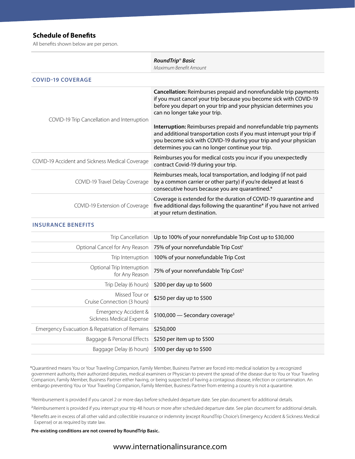### **Schedule of Benefts**

All benefts shown below are per person.

|                                                 | RoundTrip <sup>®</sup> Basic<br>Maximum Benefit Amount                                                                                                                                                                                                                                                                                                                                                                                                                                                             |
|-------------------------------------------------|--------------------------------------------------------------------------------------------------------------------------------------------------------------------------------------------------------------------------------------------------------------------------------------------------------------------------------------------------------------------------------------------------------------------------------------------------------------------------------------------------------------------|
| <b>COVID-19 COVERAGE</b>                        |                                                                                                                                                                                                                                                                                                                                                                                                                                                                                                                    |
| COVID-19 Trip Cancellation and Interruption     | Cancellation: Reimburses prepaid and nonrefundable trip payments<br>if you must cancel your trip because you become sick with COVID-19<br>before you depart on your trip and your physician determines you<br>can no longer take your trip.<br>Interruption: Reimburses prepaid and nonrefundable trip payments<br>and additional transportation costs if you must interrupt your trip if<br>you become sick with COVID-19 during your trip and your physician<br>determines you can no longer continue your trip. |
| COVID-19 Accident and Sickness Medical Coverage | Reimburses you for medical costs you incur if you unexpectedly<br>contract Covid-19 during your trip.                                                                                                                                                                                                                                                                                                                                                                                                              |
| COVID-19 Travel Delay Coverage                  | Reimburses meals, local transportation, and lodging (if not paid<br>by a common carrier or other party) if you're delayed at least 6<br>consecutive hours because you are quarantined.*                                                                                                                                                                                                                                                                                                                            |
| COVID-19 Extension of Coverage                  | Coverage is extended for the duration of COVID-19 quarantine and<br>five additional days following the quarantine* if you have not arrived<br>at your return destination.                                                                                                                                                                                                                                                                                                                                          |

#### **INSURANCE BENEFITS**

|                                                       | Trip Cancellation Up to 100% of your nonrefundable Trip Cost up to \$30,000     |
|-------------------------------------------------------|---------------------------------------------------------------------------------|
|                                                       | Optional Cancel for Any Reason 75% of your nonrefundable Trip Cost <sup>1</sup> |
|                                                       | Trip Interruption 100% of your nonrefundable Trip Cost                          |
| Optional Trip Interruption<br>for Any Reason          | 75% of your nonrefundable Trip Cost <sup>2</sup>                                |
|                                                       | Trip Delay (6 hours) \$200 per day up to \$600                                  |
| Missed Tour or<br>Cruise Connection (3 hours)         | \$250 per day up to \$500                                                       |
| Emergency Accident &<br>Sickness Medical Expense      | \$100,000 – Secondary coverage <sup>3</sup>                                     |
| Emergency Evacuation & Repatriation of Remains        | \$250,000                                                                       |
| Baggage & Personal Effects \$250 per item up to \$500 |                                                                                 |
|                                                       | Baggage Delay (6 hours) \$100 per day up to \$500                               |
|                                                       |                                                                                 |

\*Quarantined means You or Your Traveling Companion, Family Member, Business Partner are forced into medical isolation by a recognized government authority, their authorized deputies, medical examiners or Physician to prevent the spread of the disease due to You or Your Traveling Companion, Family Member, Business Partner either having, or being suspected of having a contagious disease, infection or contamination. An embargo preventing You or Your Traveling Companion, Family Member, Business Partner from entering a country is not a quarantine.

1 Reimbursement is provided if you cancel 2 or more days before scheduled departure date. See plan document for additional details.

<sup>2</sup> Reimbursement is provided if you interrupt your trip 48 hours or more after scheduled departure date. See plan document for additional details.

<sup>3</sup> Benefits are in excess of all other valid and collectible insurance or indemnity (except RoundTrip Choice's Emergency Accident & Sickness Medical Expense) or as required by state law.

#### **Pre-existing conditions are not covered by RoundTrip Basic.**

### [www.internationalinsurance.com](https://www.internationalinsurance.com/seven-corners/roundtrip/)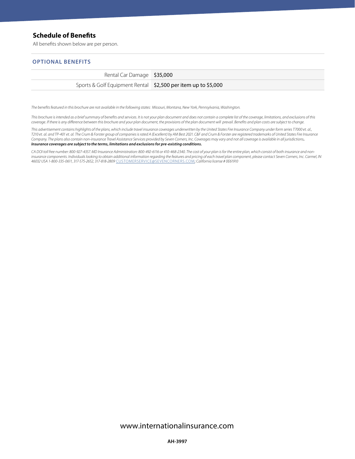### **Schedule of Benefts**

All benefts shown below are per person.

#### **OPTIONAL BENEFITS**

| Rental Car Damage \$35,000                                    |  |
|---------------------------------------------------------------|--|
| Sports & Golf Equipment Rental \$2,500 per item up to \$5,000 |  |

*The benefts featured in this brochure are not available in the following states: Missouri, Montana, New York, Pennsylvania, Washington.* 

*This brochure is intended as a brief summary of benefts and services. It is not your plan document and does not contain a complete list of the coverage, limitations, and exclusions of this*  coverage. If there is any difference between this brochure and your plan document, the provisions of the plan document will prevail. Benefits and plan costs are subject to change.

*This advertisement contains highlights of the plans, which include travel insurance coverages underwritten by the United States Fire Insurance Company under form series T7000 et. al., T210 et. al. and TP-401 et. al. The Crum & Forster group of companies is rated A (Excellent) by AM Best 2021. C&F and Crum & Forster are registered trademarks of United States Fire Insurance Company. The plans also contain non-insurance Travel Assistance Services provided by Seven Corners, Inc. Coverages may vary and not all coverage is available in all jurisdictions. Insurance coverages are subject to the terms, limitations and exclusions for pre-existing conditions.* 

*CA DOI toll free number: 800-927-4357. MD Insurance Administration: 800-492-6116 or 410-468-2340. The cost of your plan is for the entire plan, which consist of both insurance and noninsurance components. Individuals looking to obtain additional information regarding the features and pricing of each travel plan component, please contact Seven Corners, Inc. Carmel, IN 46032 USA 1-800-335-0611, 317-575-2652, 317-818-2809* CUSTOMERSERVICE@SEVENCORNERS.COM*; California license # 0E61910*